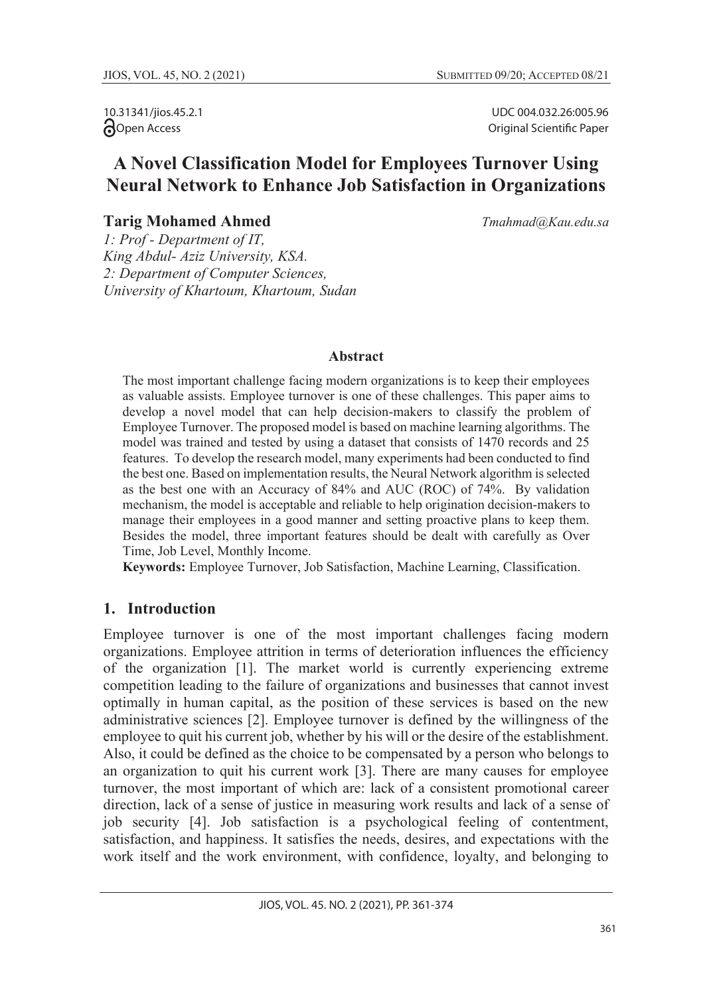10.31341/jios.45.2.1 **Open** Access

UDC 004.032.26:005.96 Original Scientific Paper

# **A Novel Classification Model for Employees Turnover Using Neural Network to Enhance Job Satisfaction in Organizations**

**Tarig Mohamed Ahmed** *Tmahmad@Kau.edu.sa*

*1: Prof - Department of IT, King Abdul- Aziz University, KSA. 2: Department of Computer Sciences, University of Khartoum, Khartoum, Sudan* 

### **Abstract**

The most important challenge facing modern organizations is to keep their employees as valuable assists. Employee turnover is one of these challenges. This paper aims to develop a novel model that can help decision-makers to classify the problem of Employee Turnover. The proposed model is based on machine learning algorithms. The model was trained and tested by using a dataset that consists of 1470 records and 25 features. To develop the research model, many experiments had been conducted to find the best one. Based on implementation results, the Neural Network algorithm is selected as the best one with an Accuracy of 84% and AUC (ROC) of 74%. By validation mechanism, the model is acceptable and reliable to help origination decision-makers to manage their employees in a good manner and setting proactive plans to keep them. Besides the model, three important features should be dealt with carefully as Over Time, Job Level, Monthly Income.

**Keywords:** Employee Turnover, Job Satisfaction, Machine Learning, Classification.

### **1. Introduction**

Employee turnover is one of the most important challenges facing modern organizations. Employee attrition in terms of deterioration influences the efficiency of the organization [1]. The market world is currently experiencing extreme competition leading to the failure of organizations and businesses that cannot invest optimally in human capital, as the position of these services is based on the new administrative sciences [2]. Employee turnover is defined by the willingness of the employee to quit his current job, whether by his will or the desire of the establishment. Also, it could be defined as the choice to be compensated by a person who belongs to an organization to quit his current work [3]. There are many causes for employee turnover, the most important of which are: lack of a consistent promotional career direction, lack of a sense of justice in measuring work results and lack of a sense of job security [4]. Job satisfaction is a psychological feeling of contentment, satisfaction, and happiness. It satisfies the needs, desires, and expectations with the work itself and the work environment, with confidence, loyalty, and belonging to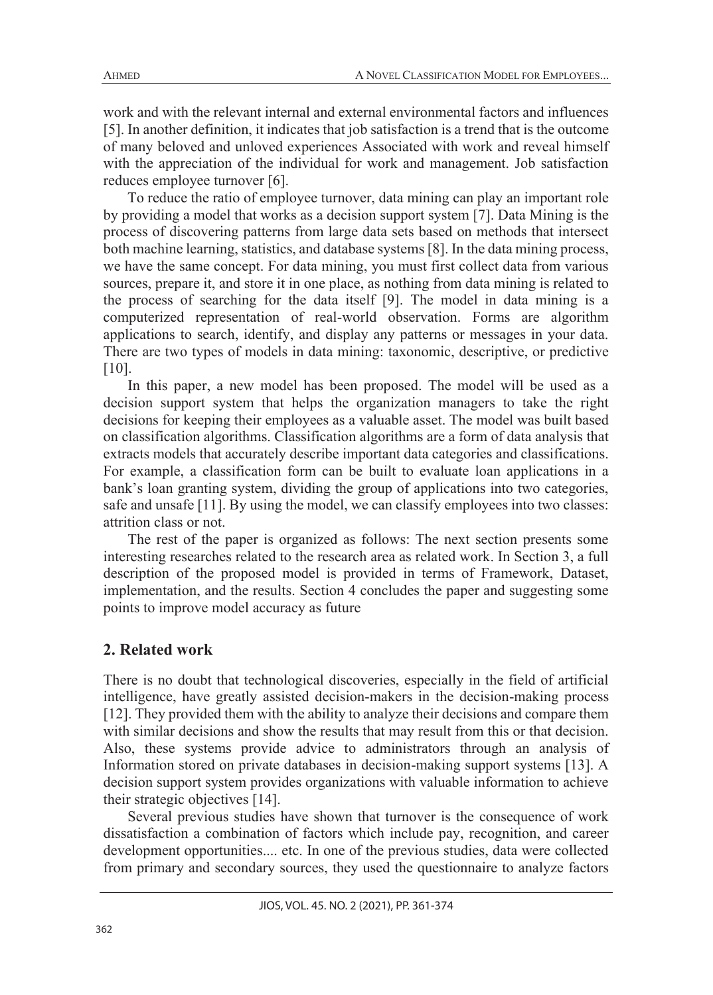work and with the relevant internal and external environmental factors and influences [5]. In another definition, it indicates that job satisfaction is a trend that is the outcome of many beloved and unloved experiences Associated with work and reveal himself with the appreciation of the individual for work and management. Job satisfaction reduces employee turnover [6].

To reduce the ratio of employee turnover, data mining can play an important role by providing a model that works as a decision support system [7]. Data Mining is the process of discovering patterns from large data sets based on methods that intersect both machine learning, statistics, and database systems [8]. In the data mining process, we have the same concept. For data mining, you must first collect data from various sources, prepare it, and store it in one place, as nothing from data mining is related to the process of searching for the data itself [9]. The model in data mining is a computerized representation of real-world observation. Forms are algorithm applications to search, identify, and display any patterns or messages in your data. There are two types of models in data mining: taxonomic, descriptive, or predictive [10].

In this paper, a new model has been proposed. The model will be used as a decision support system that helps the organization managers to take the right decisions for keeping their employees as a valuable asset. The model was built based on classification algorithms. Classification algorithms are a form of data analysis that extracts models that accurately describe important data categories and classifications. For example, a classification form can be built to evaluate loan applications in a bank's loan granting system, dividing the group of applications into two categories, safe and unsafe [11]. By using the model, we can classify employees into two classes: attrition class or not.

The rest of the paper is organized as follows: The next section presents some interesting researches related to the research area as related work. In Section 3, a full description of the proposed model is provided in terms of Framework, Dataset, implementation, and the results. Section 4 concludes the paper and suggesting some points to improve model accuracy as future

### **2. Related work**

There is no doubt that technological discoveries, especially in the field of artificial intelligence, have greatly assisted decision-makers in the decision-making process [12]. They provided them with the ability to analyze their decisions and compare them with similar decisions and show the results that may result from this or that decision. Also, these systems provide advice to administrators through an analysis of Information stored on private databases in decision-making support systems [13]. A decision support system provides organizations with valuable information to achieve their strategic objectives [14].

Several previous studies have shown that turnover is the consequence of work dissatisfaction a combination of factors which include pay, recognition, and career development opportunities.... etc. In one of the previous studies, data were collected from primary and secondary sources, they used the questionnaire to analyze factors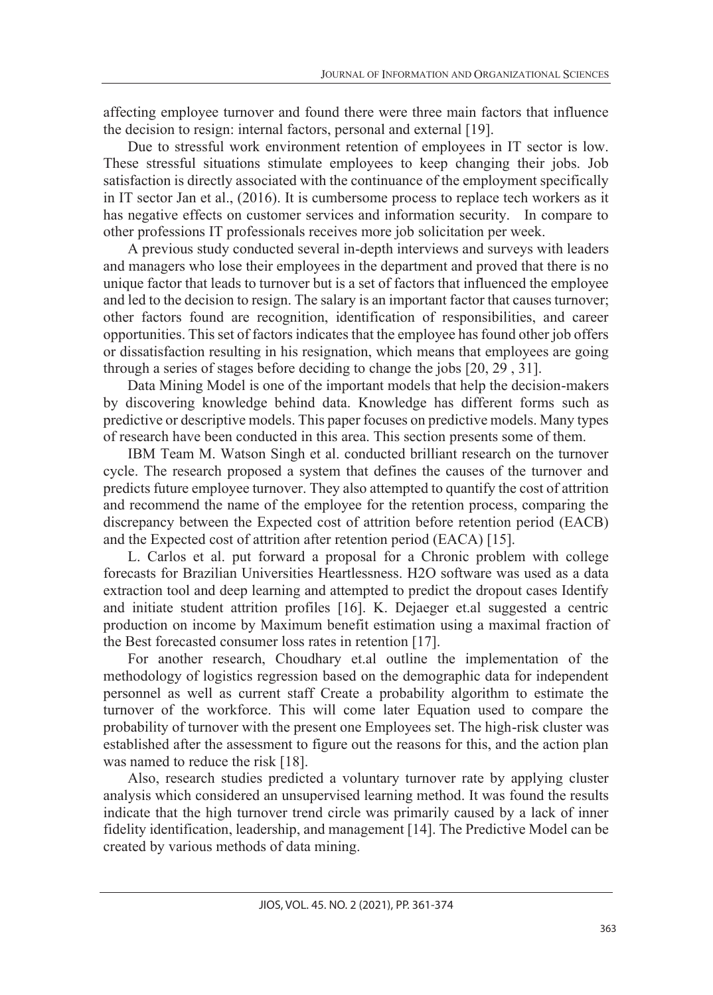affecting employee turnover and found there were three main factors that influence the decision to resign: internal factors, personal and external [19].

Due to stressful work environment retention of employees in IT sector is low. These stressful situations stimulate employees to keep changing their jobs. Job satisfaction is directly associated with the continuance of the employment specifically in IT sector Jan et al., (2016). It is cumbersome process to replace tech workers as it has negative effects on customer services and information security. In compare to other professions IT professionals receives more job solicitation per week.

A previous study conducted several in-depth interviews and surveys with leaders and managers who lose their employees in the department and proved that there is no unique factor that leads to turnover but is a set of factors that influenced the employee and led to the decision to resign. The salary is an important factor that causes turnover; other factors found are recognition, identification of responsibilities, and career opportunities. This set of factors indicates that the employee has found other job offers or dissatisfaction resulting in his resignation, which means that employees are going through a series of stages before deciding to change the jobs [20, 29 , 31].

Data Mining Model is one of the important models that help the decision-makers by discovering knowledge behind data. Knowledge has different forms such as predictive or descriptive models. This paper focuses on predictive models. Many types of research have been conducted in this area. This section presents some of them.

IBM Team M. Watson Singh et al. conducted brilliant research on the turnover cycle. The research proposed a system that defines the causes of the turnover and predicts future employee turnover. They also attempted to quantify the cost of attrition and recommend the name of the employee for the retention process, comparing the discrepancy between the Expected cost of attrition before retention period (EACB) and the Expected cost of attrition after retention period (EACA) [15].

L. Carlos et al. put forward a proposal for a Chronic problem with college forecasts for Brazilian Universities Heartlessness. H2O software was used as a data extraction tool and deep learning and attempted to predict the dropout cases Identify and initiate student attrition profiles [16]. K. Dejaeger et.al suggested a centric production on income by Maximum benefit estimation using a maximal fraction of the Best forecasted consumer loss rates in retention [17].

For another research, Choudhary et.al outline the implementation of the methodology of logistics regression based on the demographic data for independent personnel as well as current staff Create a probability algorithm to estimate the turnover of the workforce. This will come later Equation used to compare the probability of turnover with the present one Employees set. The high-risk cluster was established after the assessment to figure out the reasons for this, and the action plan was named to reduce the risk [18].

Also, research studies predicted a voluntary turnover rate by applying cluster analysis which considered an unsupervised learning method. It was found the results indicate that the high turnover trend circle was primarily caused by a lack of inner fidelity identification, leadership, and management [14]. The Predictive Model can be created by various methods of data mining.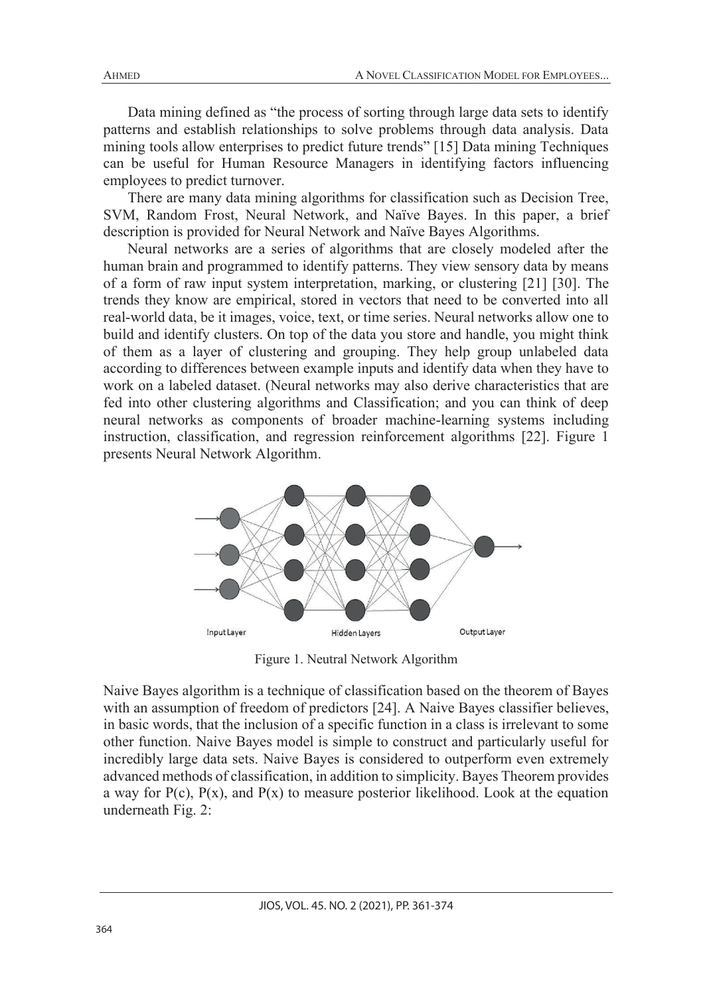Data mining defined as "the process of sorting through large data sets to identify patterns and establish relationships to solve problems through data analysis. Data mining tools allow enterprises to predict future trends" [15] Data mining Techniques can be useful for Human Resource Managers in identifying factors influencing employees to predict turnover.

There are many data mining algorithms for classification such as Decision Tree, SVM, Random Frost, Neural Network, and Naïve Bayes. In this paper, a brief description is provided for Neural Network and Naïve Bayes Algorithms.

Neural networks are a series of algorithms that are closely modeled after the human brain and programmed to identify patterns. They view sensory data by means of a form of raw input system interpretation, marking, or clustering [21] [30]. The trends they know are empirical, stored in vectors that need to be converted into all real-world data, be it images, voice, text, or time series. Neural networks allow one to build and identify clusters. On top of the data you store and handle, you might think of them as a layer of clustering and grouping. They help group unlabeled data according to differences between example inputs and identify data when they have to work on a labeled dataset. (Neural networks may also derive characteristics that are fed into other clustering algorithms and Classification; and you can think of deep neural networks as components of broader machine-learning systems including instruction, classification, and regression reinforcement algorithms [22]. Figure 1 presents Neural Network Algorithm.



Figure 1. Neutral Network Algorithm

Naive Bayes algorithm is a technique of classification based on the theorem of Bayes with an assumption of freedom of predictors [24]. A Naive Bayes classifier believes, in basic words, that the inclusion of a specific function in a class is irrelevant to some other function. Naive Bayes model is simple to construct and particularly useful for incredibly large data sets. Naive Bayes is considered to outperform even extremely advanced methods of classification, in addition to simplicity. Bayes Theorem provides a way for  $P(c)$ ,  $P(x)$ , and  $P(x)$  to measure posterior likelihood. Look at the equation underneath Fig. 2: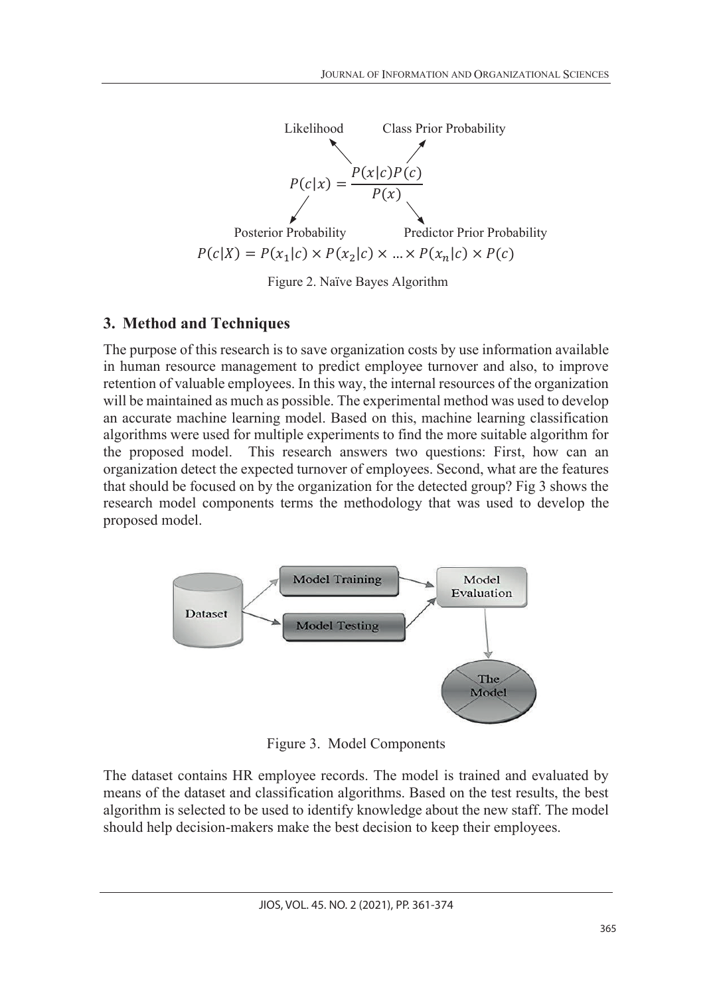

Figure 2. Naïve Bayes Algorithm

# **3. Method and Techniques**

The purpose of this research is to save organization costs by use information available in human resource management to predict employee turnover and also, to improve retention of valuable employees. In this way, the internal resources of the organization will be maintained as much as possible. The experimental method was used to develop an accurate machine learning model. Based on this, machine learning classification algorithms were used for multiple experiments to find the more suitable algorithm for the proposed model. This research answers two questions: First, how can an organization detect the expected turnover of employees. Second, what are the features that should be focused on by the organization for the detected group? Fig 3 shows the research model components terms the methodology that was used to develop the proposed model.



Figure 3. Model Components

The dataset contains HR employee records. The model is trained and evaluated by means of the dataset and classification algorithms. Based on the test results, the best algorithm is selected to be used to identify knowledge about the new staff. The model should help decision-makers make the best decision to keep their employees.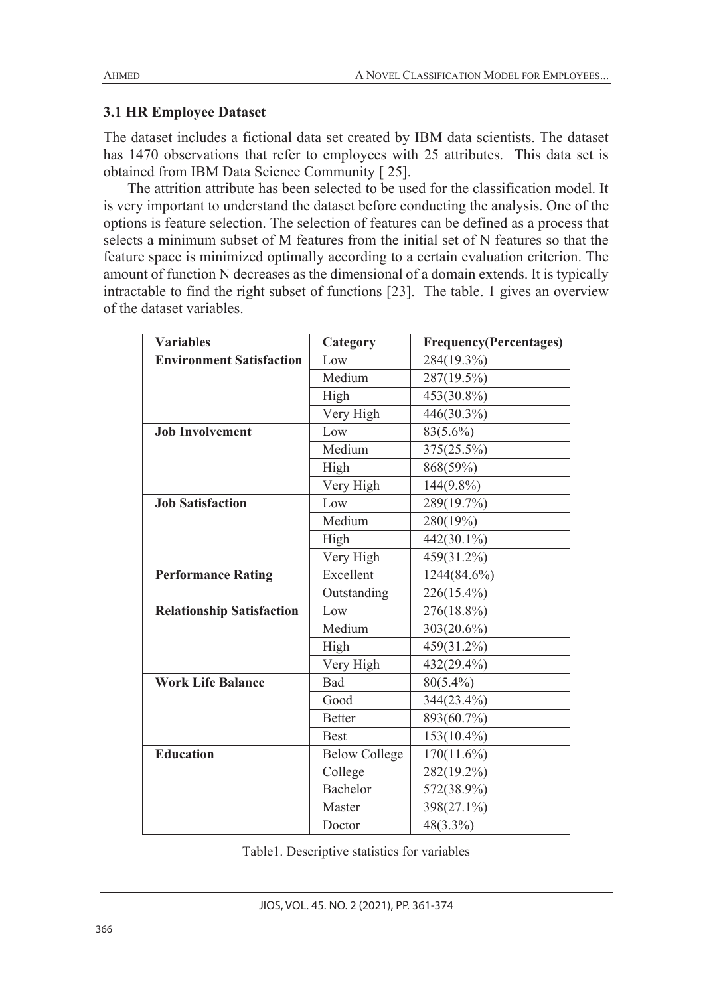## **3.1 HR Employee Dataset**

The dataset includes a fictional data set created by IBM data scientists. The dataset has 1470 observations that refer to employees with 25 attributes. This data set is obtained from IBM Data Science Community [ 25].

The attrition attribute has been selected to be used for the classification model. It is very important to understand the dataset before conducting the analysis. One of the options is feature selection. The selection of features can be defined as a process that selects a minimum subset of M features from the initial set of N features so that the feature space is minimized optimally according to a certain evaluation criterion. The amount of function N decreases as the dimensional of a domain extends. It is typically intractable to find the right subset of functions [23]. The table. 1 gives an overview of the dataset variables.

| <b>Variables</b>                 | Category             | <b>Frequency(Percentages)</b> |
|----------------------------------|----------------------|-------------------------------|
| <b>Environment Satisfaction</b>  | Low                  | 284(19.3%)                    |
|                                  | Medium               | 287(19.5%)                    |
|                                  | High                 | 453(30.8%)                    |
|                                  | Very High            | 446(30.3%)                    |
| <b>Job Involvement</b>           | Low                  | 83(5.6%)                      |
|                                  | Medium               | 375(25.5%)                    |
|                                  | High                 | 868(59%)                      |
|                                  | Very High            | 144(9.8%)                     |
| <b>Job Satisfaction</b>          | Low                  | 289(19.7%)                    |
|                                  | Medium               | 280(19%)                      |
|                                  | High                 | 442(30.1%)                    |
|                                  | Very High            | 459(31.2%)                    |
| <b>Performance Rating</b>        | Excellent            | 1244(84.6%)                   |
|                                  | Outstanding          | 226(15.4%)                    |
| <b>Relationship Satisfaction</b> | Low                  | 276(18.8%)                    |
|                                  | Medium               | 303(20.6%)                    |
|                                  | High                 | 459(31.2%)                    |
|                                  | Very High            | 432(29.4%)                    |
| <b>Work Life Balance</b>         | Bad                  | 80(5.4%)                      |
|                                  | Good                 | 344(23.4%)                    |
|                                  | <b>Better</b>        | 893(60.7%)                    |
|                                  | <b>Best</b>          | 153(10.4%)                    |
| <b>Education</b>                 | <b>Below College</b> | 170(11.6%)                    |
|                                  | College              | 282(19.2%)                    |
|                                  | Bachelor             | 572(38.9%)                    |
|                                  | Master               | 398(27.1%)                    |
|                                  | Doctor               | 48(3.3%)                      |

Table1. Descriptive statistics for variables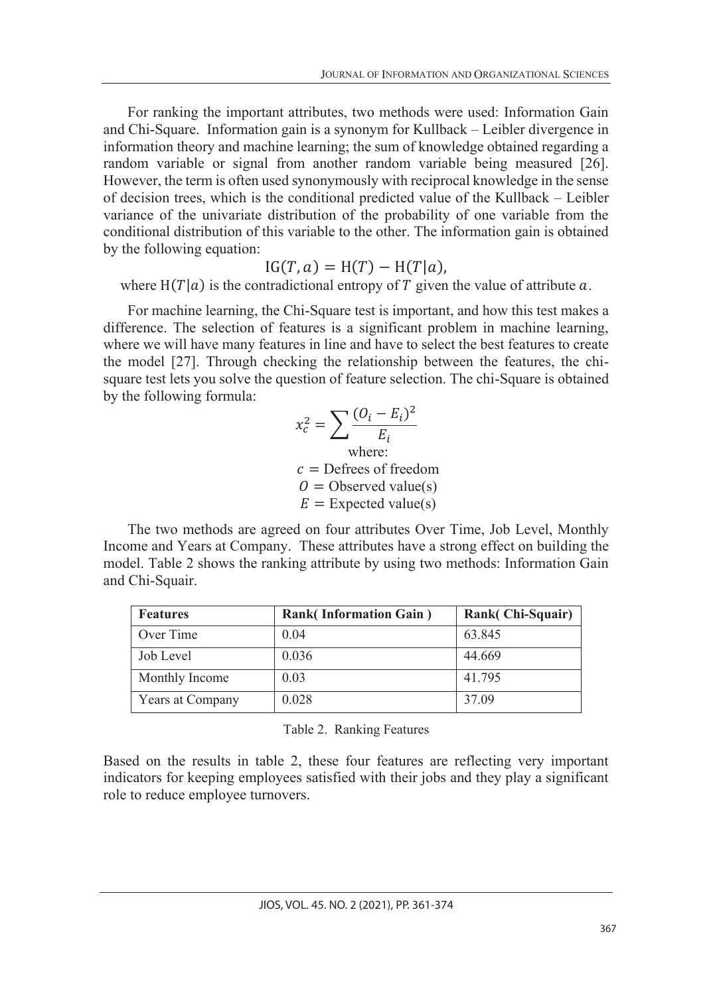For ranking the important attributes, two methods were used: Information Gain and Chi-Square. Information gain is a synonym for Kullback – Leibler divergence in information theory and machine learning; the sum of knowledge obtained regarding a random variable or signal from another random variable being measured [26]. However, the term is often used synonymously with reciprocal knowledge in the sense of decision trees, which is the conditional predicted value of the Kullback – Leibler variance of the univariate distribution of the probability of one variable from the conditional distribution of this variable to the other. The information gain is obtained by the following equation:

$$
IG(T, a) = H(T) - H(T|a),
$$

where  $H(T|a)$  is the contradictional entropy of T given the value of attribute a.

For machine learning, the Chi-Square test is important, and how this test makes a difference. The selection of features is a significant problem in machine learning, where we will have many features in line and have to select the best features to create the model [27]. Through checking the relationship between the features, the chisquare test lets you solve the question of feature selection. The chi-Square is obtained by the following formula:

$$
x_c^2 = \sum \frac{(O_i - E_i)^2}{E_i}
$$
  
where:  
 $c$  = Defrees of freedom  
 $O$  = Observed value(s)  
 $E$  = Expected value(s)

The two methods are agreed on four attributes Over Time, Job Level, Monthly Income and Years at Company. These attributes have a strong effect on building the model. Table 2 shows the ranking attribute by using two methods: Information Gain and Chi-Squair.

| <b>Features</b>  | <b>Rank</b> (Information Gain) | Rank(Chi-Squair) |  |
|------------------|--------------------------------|------------------|--|
| Over Time        | 0.04                           | 63.845           |  |
| Job Level        | 0.036                          | 44.669           |  |
| Monthly Income   | 0.03                           | 41.795           |  |
| Years at Company | 0.028                          | 37.09            |  |

Table 2. Ranking Features

Based on the results in table 2, these four features are reflecting very important indicators for keeping employees satisfied with their jobs and they play a significant role to reduce employee turnovers.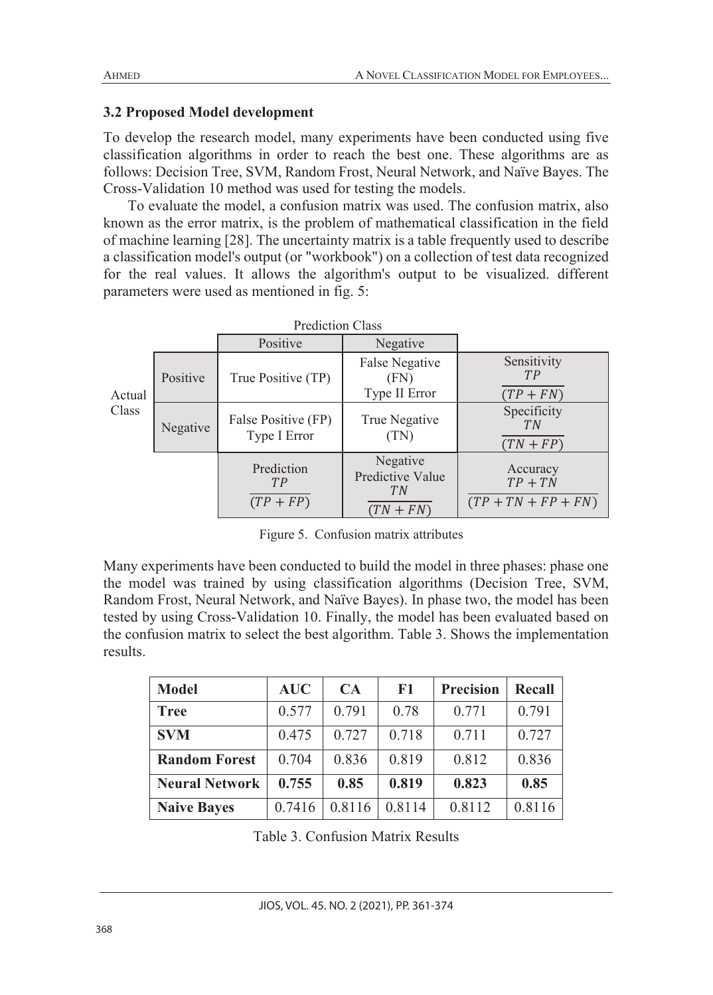### **3.2 Proposed Model development**

To develop the research model, many experiments have been conducted using five classification algorithms in order to reach the best one. These algorithms are as follows: Decision Tree, SVM, Random Frost, Neural Network, and Naïve Bayes. The Cross-Validation 10 method was used for testing the models.

To evaluate the model, a confusion matrix was used. The confusion matrix, also known as the error matrix, is the problem of mathematical classification in the field of machine learning [28]. The uncertainty matrix is a table frequently used to describe a classification model's output (or "workbook") on a collection of test data recognized for the real values. It allows the algorithm's output to be visualized. different parameters were used as mentioned in fig. 5:

|        |          | Positive                            | Negative                                           |                                                |
|--------|----------|-------------------------------------|----------------------------------------------------|------------------------------------------------|
| Actual | Positive | True Positive (TP)                  | False Negative<br>(FN)<br>Type II Error            | Sensitivity<br>TP<br>$(TP + FN)$               |
| Class  | Negative | False Positive (FP)<br>Type I Error | True Negative<br>(TN)                              | Specificity<br>T <sub>N</sub><br>$(TN + FP)$   |
|        |          | Prediction<br>TP<br>$(TP + FP)$     | Negative<br>Predictive Value<br>TN.<br>$(TN + FN)$ | Accuracy<br>$TP + TN$<br>$(TP + TN + FP + FN)$ |

Figure 5. Confusion matrix attributes

Many experiments have been conducted to build the model in three phases: phase one the model was trained by using classification algorithms (Decision Tree, SVM, Random Frost, Neural Network, and Naïve Bayes). In phase two, the model has been tested by using Cross-Validation 10. Finally, the model has been evaluated based on the confusion matrix to select the best algorithm. Table 3. Shows the implementation results.

| <b>Model</b>          | <b>AUC</b> | CA     | F1     | <b>Precision</b> | <b>Recall</b> |
|-----------------------|------------|--------|--------|------------------|---------------|
| <b>Tree</b>           | 0.577      | 0.791  | 0.78   | 0.771            | 0.791         |
| <b>SVM</b>            | 0.475      | 0.727  | 0.718  | 0.711            | 0.727         |
| <b>Random Forest</b>  | 0.704      | 0.836  | 0.819  | 0.812            | 0.836         |
| <b>Neural Network</b> | 0.755      | 0.85   | 0.819  | 0.823            | 0.85          |
| <b>Naive Bayes</b>    | 0.7416     | 0.8116 | 0.8114 | 0.8112           | 0.8116        |

Table 3. Confusion Matrix Results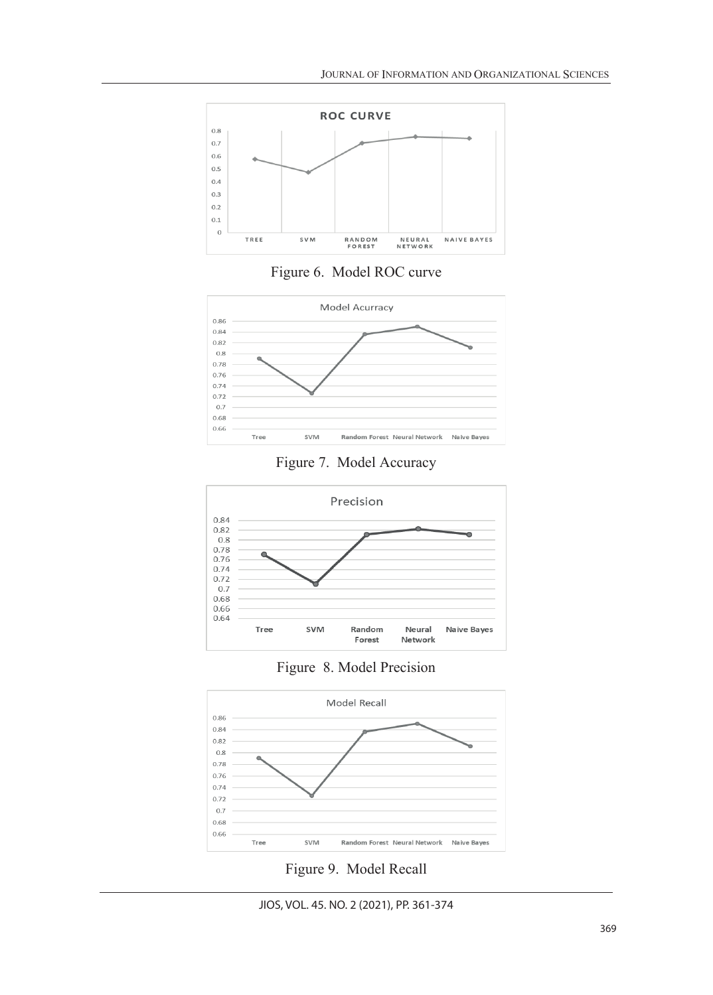

Figure 6. Model ROC curve



Figure 7. Model Accuracy



Figure 8. Model Precision



Figure 9. Model Recall

JIOS, VOL. 45. NO. 2 (2021), PP. 361-374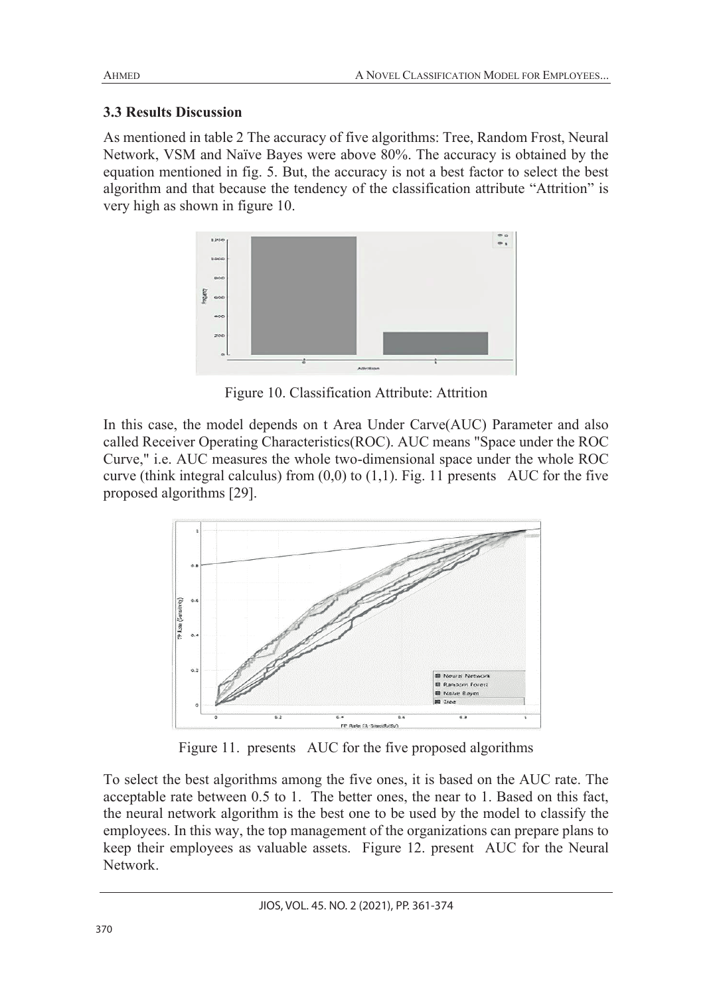## **3.3 Results Discussion**

As mentioned in table 2 The accuracy of five algorithms: Tree, Random Frost, Neural Network, VSM and Naïve Bayes were above 80%. The accuracy is obtained by the equation mentioned in fig. 5. But, the accuracy is not a best factor to select the best algorithm and that because the tendency of the classification attribute "Attrition" is very high as shown in figure 10.



Figure 10. Classification Attribute: Attrition

In this case, the model depends on t Area Under Carve(AUC) Parameter and also called Receiver Operating Characteristics(ROC). AUC means "Space under the ROC Curve," i.e. AUC measures the whole two-dimensional space under the whole ROC curve (think integral calculus) from  $(0,0)$  to  $(1,1)$ . Fig. 11 presents AUC for the five proposed algorithms [29].



Figure 11. presents AUC for the five proposed algorithms

To select the best algorithms among the five ones, it is based on the AUC rate. The acceptable rate between 0.5 to 1. The better ones, the near to 1. Based on this fact, the neural network algorithm is the best one to be used by the model to classify the employees. In this way, the top management of the organizations can prepare plans to keep their employees as valuable assets. Figure 12. present AUC for the Neural Network.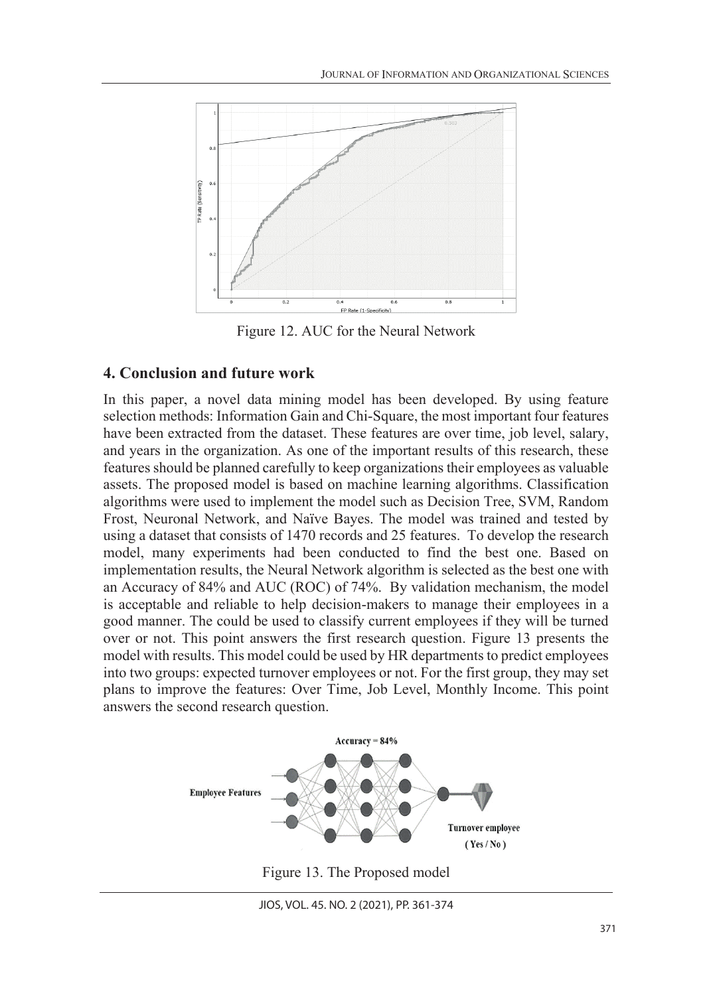

Figure 12. AUC for the Neural Network

### **4. Conclusion and future work**

In this paper, a novel data mining model has been developed. By using feature selection methods: Information Gain and Chi-Square, the most important four features have been extracted from the dataset. These features are over time, job level, salary, and years in the organization. As one of the important results of this research, these features should be planned carefully to keep organizations their employees as valuable assets. The proposed model is based on machine learning algorithms. Classification algorithms were used to implement the model such as Decision Tree, SVM, Random Frost, Neuronal Network, and Naïve Bayes. The model was trained and tested by using a dataset that consists of 1470 records and 25 features. To develop the research model, many experiments had been conducted to find the best one. Based on implementation results, the Neural Network algorithm is selected as the best one with an Accuracy of 84% and AUC (ROC) of 74%. By validation mechanism, the model is acceptable and reliable to help decision-makers to manage their employees in a good manner. The could be used to classify current employees if they will be turned over or not. This point answers the first research question. Figure 13 presents the model with results. This model could be used by HR departments to predict employees into two groups: expected turnover employees or not. For the first group, they may set plans to improve the features: Over Time, Job Level, Monthly Income. This point answers the second research question.



Figure 13. The Proposed model

JIOS, VOL. 45. NO. 2 (2021), PP. 361-374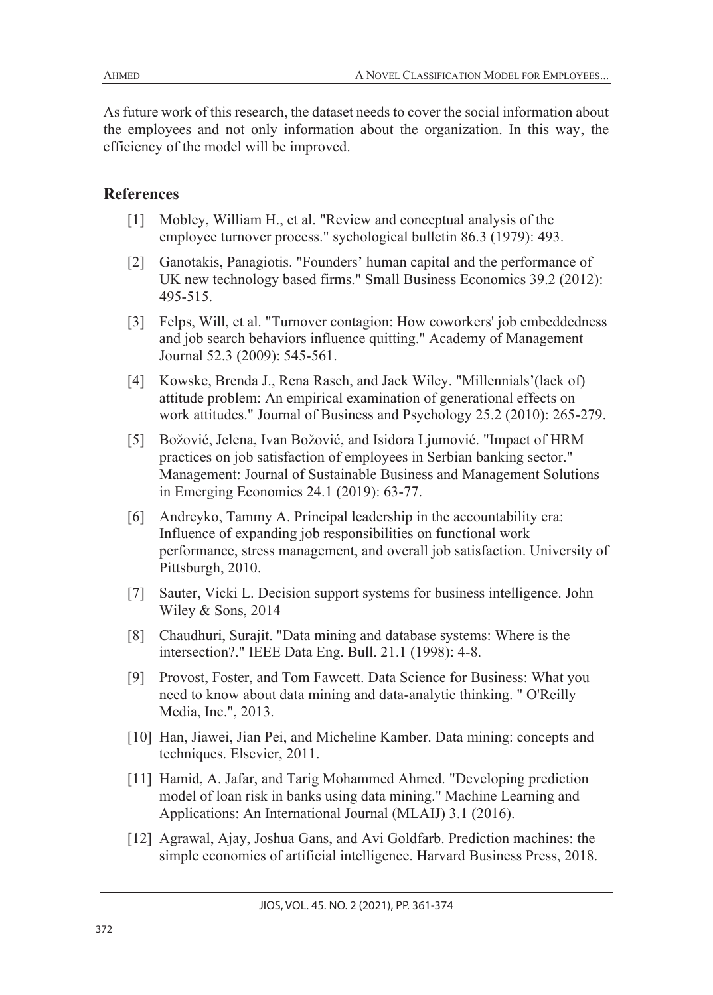As future work of this research, the dataset needs to cover the social information about the employees and not only information about the organization. In this way, the efficiency of the model will be improved.

### **References**

- [1] Mobley, William H., et al. "Review and conceptual analysis of the employee turnover process." sychological bulletin 86.3 (1979): 493.
- [2] Ganotakis, Panagiotis. "Founders' human capital and the performance of UK new technology based firms." Small Business Economics 39.2 (2012): 495-515.
- [3] Felps, Will, et al. "Turnover contagion: How coworkers' job embeddedness and job search behaviors influence quitting." Academy of Management Journal 52.3 (2009): 545-561.
- [4] Kowske, Brenda J., Rena Rasch, and Jack Wiley. "Millennials'(lack of) attitude problem: An empirical examination of generational effects on work attitudes." Journal of Business and Psychology 25.2 (2010): 265-279.
- [5] Božović, Jelena, Ivan Božović, and Isidora Ljumović. "Impact of HRM practices on job satisfaction of employees in Serbian banking sector." Management: Journal of Sustainable Business and Management Solutions in Emerging Economies 24.1 (2019): 63-77.
- [6] Andreyko, Tammy A. Principal leadership in the accountability era: Influence of expanding job responsibilities on functional work performance, stress management, and overall job satisfaction. University of Pittsburgh, 2010.
- [7] Sauter, Vicki L. Decision support systems for business intelligence. John Wiley & Sons, 2014
- [8] Chaudhuri, Surajit. "Data mining and database systems: Where is the intersection?." IEEE Data Eng. Bull. 21.1 (1998): 4-8.
- [9] Provost, Foster, and Tom Fawcett. Data Science for Business: What you need to know about data mining and data-analytic thinking. " O'Reilly Media, Inc.", 2013.
- [10] Han, Jiawei, Jian Pei, and Micheline Kamber. Data mining: concepts and techniques. Elsevier, 2011.
- [11] Hamid, A. Jafar, and Tarig Mohammed Ahmed. "Developing prediction model of loan risk in banks using data mining." Machine Learning and Applications: An International Journal (MLAIJ) 3.1 (2016).
- [12] Agrawal, Ajay, Joshua Gans, and Avi Goldfarb. Prediction machines: the simple economics of artificial intelligence. Harvard Business Press, 2018.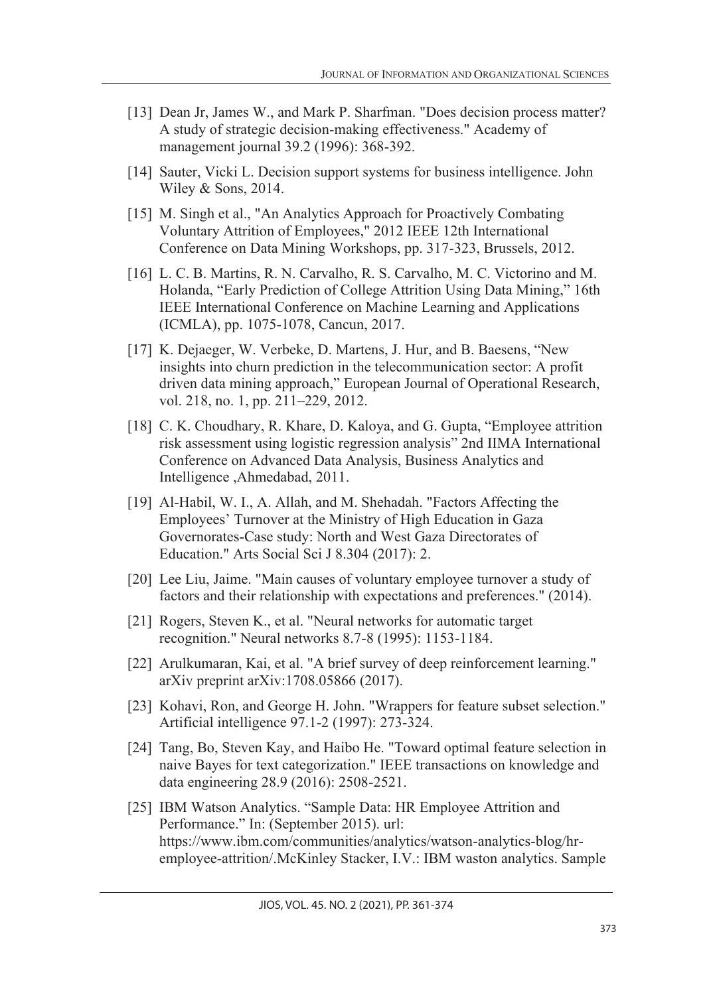- [13] Dean Jr, James W., and Mark P. Sharfman. "Does decision process matter? A study of strategic decision-making effectiveness." Academy of management journal 39.2 (1996): 368-392.
- [14] Sauter, Vicki L. Decision support systems for business intelligence. John Wiley & Sons, 2014.
- [15] M. Singh et al., "An Analytics Approach for Proactively Combating Voluntary Attrition of Employees," 2012 IEEE 12th International Conference on Data Mining Workshops, pp. 317-323, Brussels, 2012.
- [16] L. C. B. Martins, R. N. Carvalho, R. S. Carvalho, M. C. Victorino and M. Holanda, "Early Prediction of College Attrition Using Data Mining," 16th IEEE International Conference on Machine Learning and Applications (ICMLA), pp. 1075-1078, Cancun, 2017.
- [17] K. Dejaeger, W. Verbeke, D. Martens, J. Hur, and B. Baesens, "New insights into churn prediction in the telecommunication sector: A profit driven data mining approach," European Journal of Operational Research, vol. 218, no. 1, pp. 211–229, 2012.
- [18] C. K. Choudhary, R. Khare, D. Kaloya, and G. Gupta, "Employee attrition risk assessment using logistic regression analysis" 2nd IIMA International Conference on Advanced Data Analysis, Business Analytics and Intelligence ,Ahmedabad, 2011.
- [19] Al-Habil, W. I., A. Allah, and M. Shehadah. "Factors Affecting the Employees' Turnover at the Ministry of High Education in Gaza Governorates-Case study: North and West Gaza Directorates of Education." Arts Social Sci J 8.304 (2017): 2.
- [20] Lee Liu, Jaime. "Main causes of voluntary employee turnover a study of factors and their relationship with expectations and preferences." (2014).
- [21] Rogers, Steven K., et al. "Neural networks for automatic target recognition." Neural networks 8.7-8 (1995): 1153-1184.
- [22] Arulkumaran, Kai, et al. "A brief survey of deep reinforcement learning." arXiv preprint arXiv:1708.05866 (2017).
- [23] Kohavi, Ron, and George H. John. "Wrappers for feature subset selection." Artificial intelligence 97.1-2 (1997): 273-324.
- [24] Tang, Bo, Steven Kay, and Haibo He. "Toward optimal feature selection in naive Bayes for text categorization." IEEE transactions on knowledge and data engineering 28.9 (2016): 2508-2521.
- [25] IBM Watson Analytics. "Sample Data: HR Employee Attrition and Performance." In: (September 2015). url: https://www.ibm.com/communities/analytics/watson-analytics-blog/hremployee-attrition/.McKinley Stacker, I.V.: IBM waston analytics. Sample